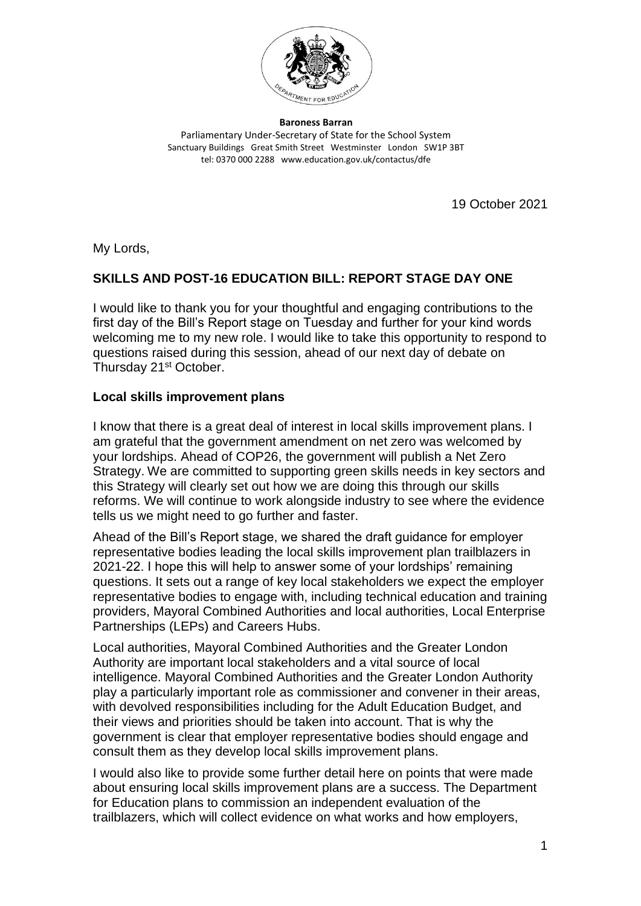

**Baroness Barran** Parliamentary Under-Secretary of State for the School System Sanctuary Buildings Great Smith Street Westminster London SW1P 3BT tel: 0370 000 2288 www.education.gov.uk/contactus/dfe

19 October 2021

My Lords,

# **SKILLS AND POST-16 EDUCATION BILL: REPORT STAGE DAY ONE**

I would like to thank you for your thoughtful and engaging contributions to the first day of the Bill's Report stage on Tuesday and further for your kind words welcoming me to my new role. I would like to take this opportunity to respond to questions raised during this session, ahead of our next day of debate on Thursday 21<sup>st</sup> October.

## **Local skills improvement plans**

I know that there is a great deal of interest in local skills improvement plans. I am grateful that the government amendment on net zero was welcomed by your lordships. Ahead of COP26, the government will publish a Net Zero Strategy. We are committed to supporting green skills needs in key sectors and this Strategy will clearly set out how we are doing this through our skills reforms. We will continue to work alongside industry to see where the evidence tells us we might need to go further and faster.

Ahead of the Bill's Report stage, we shared the draft guidance for employer representative bodies leading the local skills improvement plan trailblazers in 2021-22. I hope this will help to answer some of your lordships' remaining questions. It sets out a range of key local stakeholders we expect the employer representative bodies to engage with, including technical education and training providers, Mayoral Combined Authorities and local authorities, Local Enterprise Partnerships (LEPs) and Careers Hubs.

Local authorities, Mayoral Combined Authorities and the Greater London Authority are important local stakeholders and a vital source of local intelligence. Mayoral Combined Authorities and the Greater London Authority play a particularly important role as commissioner and convener in their areas, with devolved responsibilities including for the Adult Education Budget, and their views and priorities should be taken into account. That is why the government is clear that employer representative bodies should engage and consult them as they develop local skills improvement plans.

I would also like to provide some further detail here on points that were made about ensuring local skills improvement plans are a success. The Department for Education plans to commission an independent evaluation of the trailblazers, which will collect evidence on what works and how employers,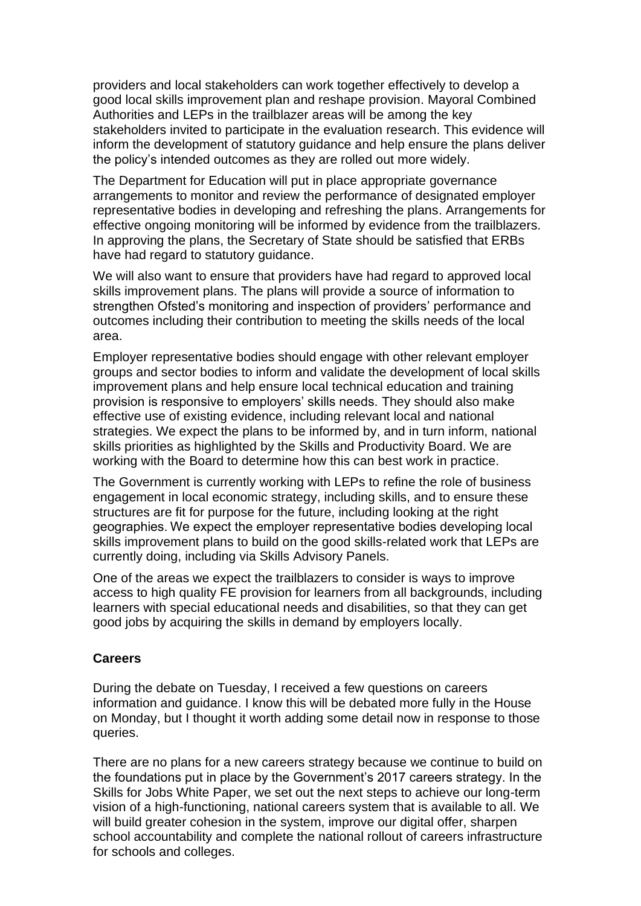providers and local stakeholders can work together effectively to develop a good local skills improvement plan and reshape provision. Mayoral Combined Authorities and LEPs in the trailblazer areas will be among the key stakeholders invited to participate in the evaluation research. This evidence will inform the development of statutory guidance and help ensure the plans deliver the policy's intended outcomes as they are rolled out more widely.

The Department for Education will put in place appropriate governance arrangements to monitor and review the performance of designated employer representative bodies in developing and refreshing the plans. Arrangements for effective ongoing monitoring will be informed by evidence from the trailblazers. In approving the plans, the Secretary of State should be satisfied that ERBs have had regard to statutory guidance.

We will also want to ensure that providers have had regard to approved local skills improvement plans. The plans will provide a source of information to strengthen Ofsted's monitoring and inspection of providers' performance and outcomes including their contribution to meeting the skills needs of the local area.

Employer representative bodies should engage with other relevant employer groups and sector bodies to inform and validate the development of local skills improvement plans and help ensure local technical education and training provision is responsive to employers' skills needs. They should also make effective use of existing evidence, including relevant local and national strategies. We expect the plans to be informed by, and in turn inform, national skills priorities as highlighted by the Skills and Productivity Board. We are working with the Board to determine how this can best work in practice.

The Government is currently working with LEPs to refine the role of business engagement in local economic strategy, including skills, and to ensure these structures are fit for purpose for the future, including looking at the right geographies. We expect the employer representative bodies developing local skills improvement plans to build on the good skills-related work that LEPs are currently doing, including via Skills Advisory Panels.

One of the areas we expect the trailblazers to consider is ways to improve access to high quality FE provision for learners from all backgrounds, including learners with special educational needs and disabilities, so that they can get good jobs by acquiring the skills in demand by employers locally.

## **Careers**

During the debate on Tuesday, I received a few questions on careers information and guidance. I know this will be debated more fully in the House on Monday, but I thought it worth adding some detail now in response to those queries.

There are no plans for a new careers strategy because we continue to build on the foundations put in place by the Government's 2017 careers strategy. In the Skills for Jobs White Paper, we set out the next steps to achieve our long-term vision of a high-functioning, national careers system that is available to all. We will build greater cohesion in the system, improve our digital offer, sharpen school accountability and complete the national rollout of careers infrastructure for schools and colleges.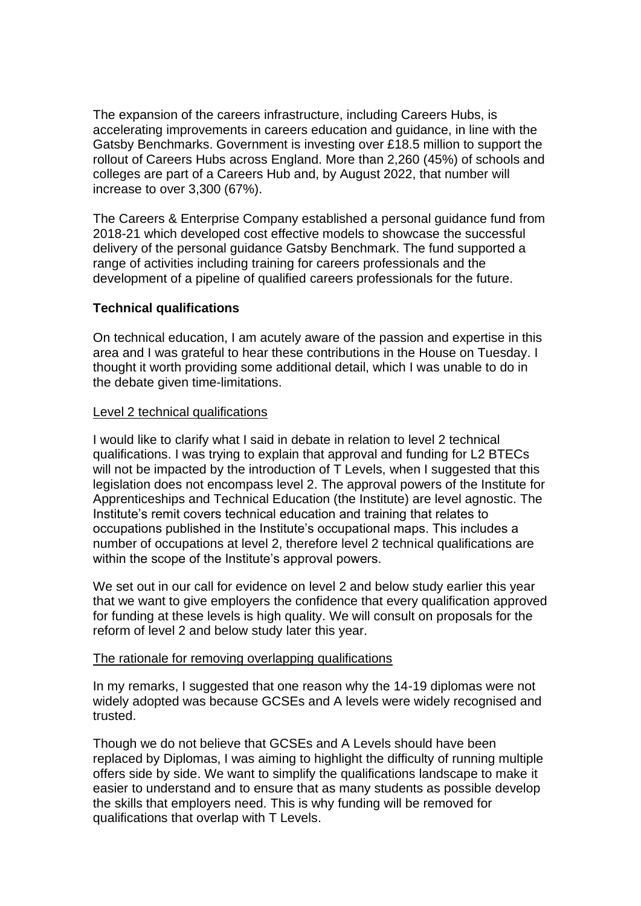The expansion of the careers infrastructure, including Careers Hubs, is accelerating improvements in careers education and guidance, in line with the Gatsby Benchmarks. Government is investing over £18.5 million to support the rollout of Careers Hubs across England. More than 2,260 (45%) of schools and colleges are part of a Careers Hub and, by August 2022, that number will increase to over 3,300 (67%).

The Careers & Enterprise Company established a personal guidance fund from 2018-21 which developed cost effective models to showcase the successful delivery of the personal guidance Gatsby Benchmark. The fund supported a range of activities including training for careers professionals and the development of a pipeline of qualified careers professionals for the future.

## **Technical qualifications**

On technical education, I am acutely aware of the passion and expertise in this area and I was grateful to hear these contributions in the House on Tuesday. I thought it worth providing some additional detail, which I was unable to do in the debate given time-limitations.

## Level 2 technical qualifications

I would like to clarify what I said in debate in relation to level 2 technical qualifications. I was trying to explain that approval and funding for L2 BTECs will not be impacted by the introduction of T Levels, when I suggested that this legislation does not encompass level 2. The approval powers of the Institute for Apprenticeships and Technical Education (the Institute) are level agnostic. The Institute's remit covers technical education and training that relates to occupations published in the Institute's occupational maps. This includes a number of occupations at level 2, therefore level 2 technical qualifications are within the scope of the Institute's approval powers.

We set out in our call for evidence on level 2 and below study earlier this year that we want to give employers the confidence that every qualification approved for funding at these levels is high quality. We will consult on proposals for the reform of level 2 and below study later this year.

#### The rationale for removing overlapping qualifications

In my remarks, I suggested that one reason why the 14-19 diplomas were not widely adopted was because GCSEs and A levels were widely recognised and trusted.

Though we do not believe that GCSEs and A Levels should have been replaced by Diplomas, I was aiming to highlight the difficulty of running multiple offers side by side. We want to simplify the qualifications landscape to make it easier to understand and to ensure that as many students as possible develop the skills that employers need. This is why funding will be removed for qualifications that overlap with T Levels.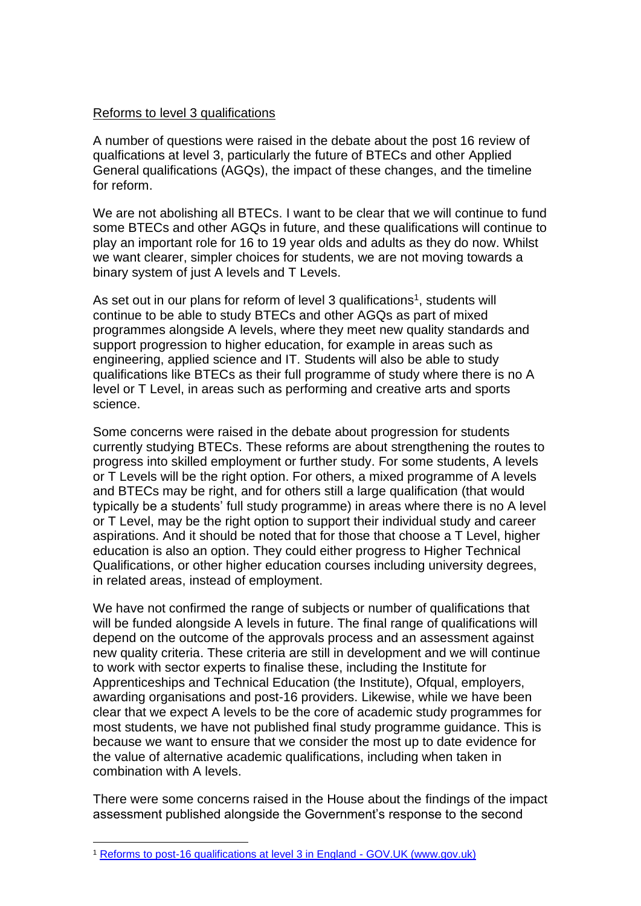## Reforms to level 3 qualifications

A number of questions were raised in the debate about the post 16 review of qualfications at level 3, particularly the future of BTECs and other Applied General qualifications (AGQs), the impact of these changes, and the timeline for reform.

We are not abolishing all BTECs. I want to be clear that we will continue to fund some BTECs and other AGQs in future, and these qualifications will continue to play an important role for 16 to 19 year olds and adults as they do now. Whilst we want clearer, simpler choices for students, we are not moving towards a binary system of just A levels and T Levels.

As set out in our plans for reform of level 3 qualifications<sup>1</sup>, students will continue to be able to study BTECs and other AGQs as part of mixed programmes alongside A levels, where they meet new quality standards and support progression to higher education, for example in areas such as engineering, applied science and IT. Students will also be able to study qualifications like BTECs as their full programme of study where there is no A level or T Level, in areas such as performing and creative arts and sports science.

Some concerns were raised in the debate about progression for students currently studying BTECs. These reforms are about strengthening the routes to progress into skilled employment or further study. For some students, A levels or T Levels will be the right option. For others, a mixed programme of A levels and BTECs may be right, and for others still a large qualification (that would typically be a students' full study programme) in areas where there is no A level or T Level, may be the right option to support their individual study and career aspirations. And it should be noted that for those that choose a T Level, higher education is also an option. They could either progress to Higher Technical Qualifications, or other higher education courses including university degrees, in related areas, instead of employment.

We have not confirmed the range of subjects or number of qualifications that will be funded alongside A levels in future. The final range of qualifications will depend on the outcome of the approvals process and an assessment against new quality criteria. These criteria are still in development and we will continue to work with sector experts to finalise these, including the Institute for Apprenticeships and Technical Education (the Institute), Ofqual, employers, awarding organisations and post-16 providers. Likewise, while we have been clear that we expect A levels to be the core of academic study programmes for most students, we have not published final study programme guidance. This is because we want to ensure that we consider the most up to date evidence for the value of alternative academic qualifications, including when taken in combination with A levels.

There were some concerns raised in the House about the findings of the impact assessment published alongside the Government's response to the second

<sup>1</sup> [Reforms to post-16 qualifications at level 3 in England -](https://www.gov.uk/government/publications/reforms-to-post-16-qualifications-at-level-3-in-england) GOV.UK (www.gov.uk)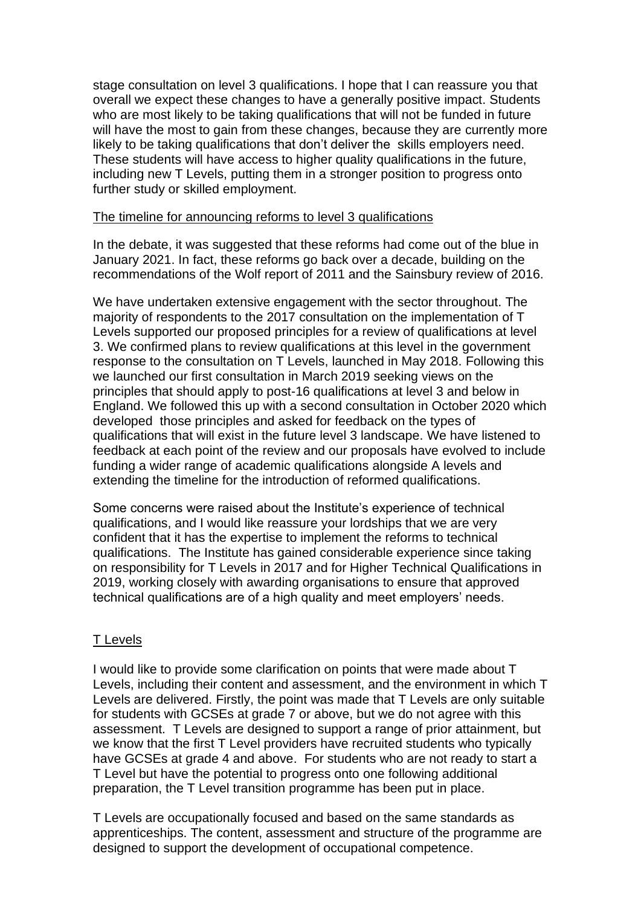stage consultation on level 3 qualifications. I hope that I can reassure you that overall we expect these changes to have a generally positive impact. Students who are most likely to be taking qualifications that will not be funded in future will have the most to gain from these changes, because they are currently more likely to be taking qualifications that don't deliver the skills employers need. These students will have access to higher quality qualifications in the future, including new T Levels, putting them in a stronger position to progress onto further study or skilled employment.

#### The timeline for announcing reforms to level 3 qualifications

In the debate, it was suggested that these reforms had come out of the blue in January 2021. In fact, these reforms go back over a decade, building on the recommendations of the Wolf report of 2011 and the Sainsbury review of 2016.

We have undertaken extensive engagement with the sector throughout. The majority of respondents to the 2017 consultation on the implementation of T Levels supported our proposed principles for a review of qualifications at level 3. We confirmed plans to review qualifications at this level in the government response to the consultation on T Levels, launched in May 2018. Following this we launched our first consultation in March 2019 seeking views on the principles that should apply to post-16 qualifications at level 3 and below in England. We followed this up with a second consultation in October 2020 which developed those principles and asked for feedback on the types of qualifications that will exist in the future level 3 landscape. We have listened to feedback at each point of the review and our proposals have evolved to include funding a wider range of academic qualifications alongside A levels and extending the timeline for the introduction of reformed qualifications.

Some concerns were raised about the Institute's experience of technical qualifications, and I would like reassure your lordships that we are very confident that it has the expertise to implement the reforms to technical qualifications. The Institute has gained considerable experience since taking on responsibility for T Levels in 2017 and for Higher Technical Qualifications in 2019, working closely with awarding organisations to ensure that approved technical qualifications are of a high quality and meet employers' needs.

## T Levels

I would like to provide some clarification on points that were made about T Levels, including their content and assessment, and the environment in which T Levels are delivered. Firstly, the point was made that T Levels are only suitable for students with GCSEs at grade 7 or above, but we do not agree with this assessment. T Levels are designed to support a range of prior attainment, but we know that the first T Level providers have recruited students who typically have GCSEs at grade 4 and above. For students who are not ready to start a T Level but have the potential to progress onto one following additional preparation, the T Level transition programme has been put in place.

T Levels are occupationally focused and based on the same standards as apprenticeships. The content, assessment and structure of the programme are designed to support the development of occupational competence.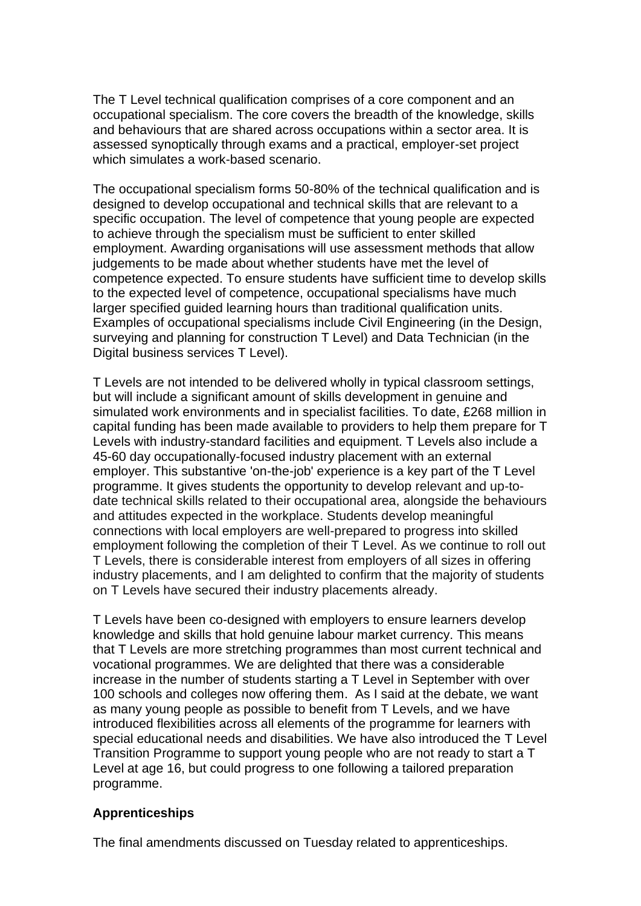The T Level technical qualification comprises of a core component and an occupational specialism. The core covers the breadth of the knowledge, skills and behaviours that are shared across occupations within a sector area. It is assessed synoptically through exams and a practical, employer-set project which simulates a work-based scenario.

The occupational specialism forms 50-80% of the technical qualification and is designed to develop occupational and technical skills that are relevant to a specific occupation. The level of competence that young people are expected to achieve through the specialism must be sufficient to enter skilled employment. Awarding organisations will use assessment methods that allow judgements to be made about whether students have met the level of competence expected. To ensure students have sufficient time to develop skills to the expected level of competence, occupational specialisms have much larger specified guided learning hours than traditional qualification units. Examples of occupational specialisms include Civil Engineering (in the Design, surveying and planning for construction T Level) and Data Technician (in the Digital business services T Level).

T Levels are not intended to be delivered wholly in typical classroom settings, but will include a significant amount of skills development in genuine and simulated work environments and in specialist facilities. To date, £268 million in capital funding has been made available to providers to help them prepare for T Levels with industry-standard facilities and equipment. T Levels also include a 45-60 day occupationally-focused industry placement with an external employer. This substantive 'on-the-job' experience is a key part of the T Level programme. It gives students the opportunity to develop relevant and up-todate technical skills related to their occupational area, alongside the behaviours and attitudes expected in the workplace. Students develop meaningful connections with local employers are well-prepared to progress into skilled employment following the completion of their T Level. As we continue to roll out T Levels, there is considerable interest from employers of all sizes in offering industry placements, and I am delighted to confirm that the majority of students on T Levels have secured their industry placements already.

T Levels have been co-designed with employers to ensure learners develop knowledge and skills that hold genuine labour market currency. This means that T Levels are more stretching programmes than most current technical and vocational programmes. We are delighted that there was a considerable increase in the number of students starting a T Level in September with over 100 schools and colleges now offering them. As I said at the debate, we want as many young people as possible to benefit from T Levels, and we have introduced flexibilities across all elements of the programme for learners with special educational needs and disabilities. We have also introduced the T Level Transition Programme to support young people who are not ready to start a T Level at age 16, but could progress to one following a tailored preparation programme.

# **Apprenticeships**

The final amendments discussed on Tuesday related to apprenticeships.